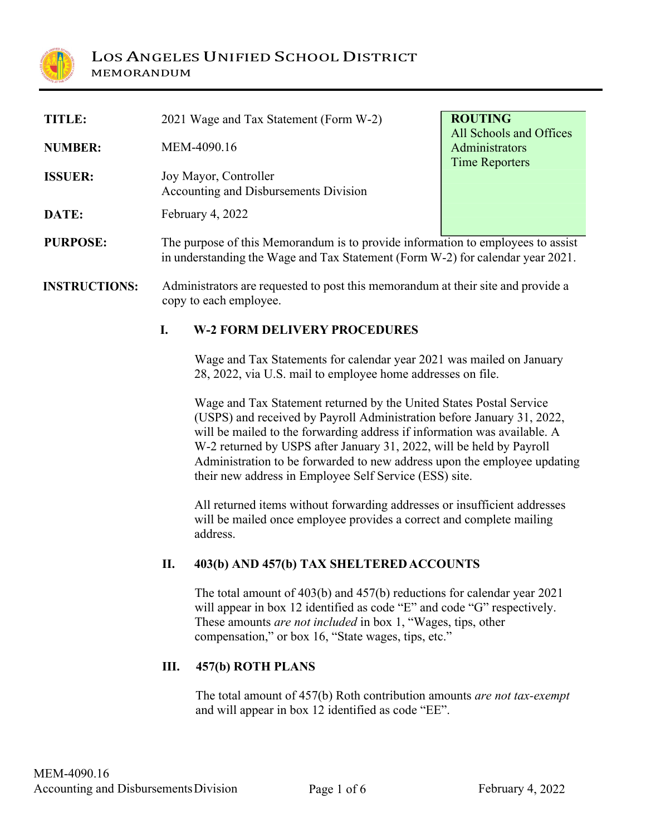

MEMORANDUM

| TITLE:          | 2021 Wage and Tax Statement (Form W-2)                                                                                                                            | <b>ROUTING</b>                                                     |
|-----------------|-------------------------------------------------------------------------------------------------------------------------------------------------------------------|--------------------------------------------------------------------|
| <b>NUMBER:</b>  | MEM-4090.16                                                                                                                                                       | All Schools and Offices<br>Administrators<br><b>Time Reporters</b> |
| <b>ISSUER:</b>  | Joy Mayor, Controller<br>Accounting and Disbursements Division                                                                                                    |                                                                    |
| DATE:           | February 4, 2022                                                                                                                                                  |                                                                    |
| <b>PURPOSE:</b> | The purpose of this Memorandum is to provide information to employees to assist<br>in understanding the Wage and Tax Statement (Form W-2) for calendar year 2021. |                                                                    |

**INSTRUCTIONS:** Administrators are requested to post this memorandum at their site and provide a copy to each employee.

#### **I. W-2 FORM DELIVERY PROCEDURES**

Wage and Tax Statements for calendar year 2021 was mailed on January 28, 2022, via U.S. mail to employee home addresses on file.

Wage and Tax Statement returned by the United States Postal Service (USPS) and received by Payroll Administration before January 31, 2022, will be mailed to the forwarding address if information was available. A W-2 returned by USPS after January 31, 2022, will be held by Payroll Administration to be forwarded to new address upon the employee updating their new address in Employee Self Service (ESS) site.

All returned items without forwarding addresses or insufficient addresses will be mailed once employee provides a correct and complete mailing address.

#### **II. 403(b) AND 457(b) TAX SHELTEREDACCOUNTS**

The total amount of 403(b) and 457(b) reductions for calendar year 2021 will appear in box 12 identified as code "E" and code "G" respectively. These amounts *are not included* in box 1, "Wages, tips, other compensation," or box 16, "State wages, tips, etc."

#### **III. 457(b) ROTH PLANS**

The total amount of 457(b) Roth contribution amounts *are not tax-exempt* and will appear in box 12 identified as code "EE".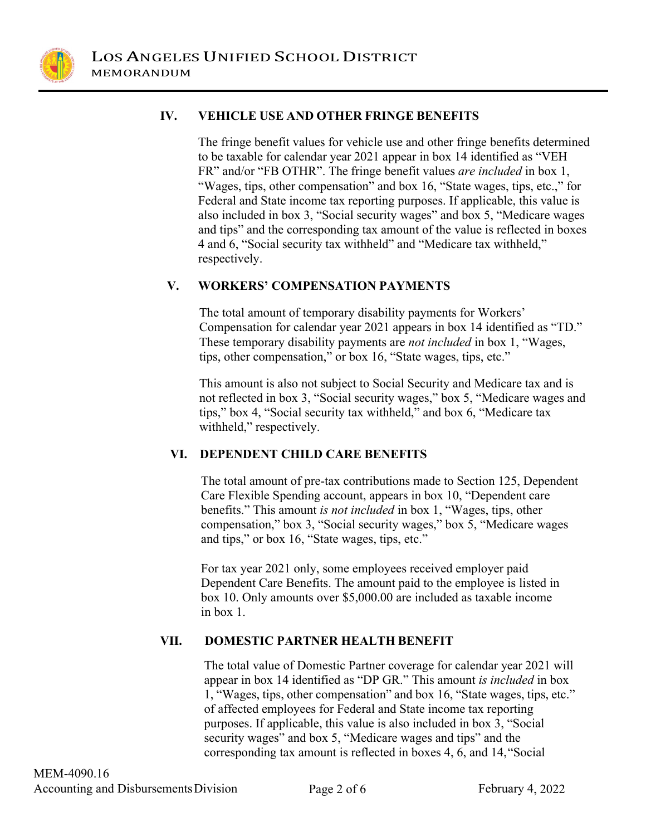

### **IV. VEHICLE USE AND OTHER FRINGE BENEFITS**

The fringe benefit values for vehicle use and other fringe benefits determined to be taxable for calendar year 2021 appear in box 14 identified as "VEH FR" and/or "FB OTHR". The fringe benefit values *are included* in box 1, "Wages, tips, other compensation" and box 16, "State wages, tips, etc.," for Federal and State income tax reporting purposes. If applicable, this value is also included in box 3, "Social security wages" and box 5, "Medicare wages and tips" and the corresponding tax amount of the value is reflected in boxes 4 and 6, "Social security tax withheld" and "Medicare tax withheld," respectively.

#### **V. WORKERS' COMPENSATION PAYMENTS**

The total amount of temporary disability payments for Workers' Compensation for calendar year 2021 appears in box 14 identified as "TD." These temporary disability payments are *not included* in box 1, "Wages, tips, other compensation," or box 16, "State wages, tips, etc."

This amount is also not subject to Social Security and Medicare tax and is not reflected in box 3, "Social security wages," box 5, "Medicare wages and tips," box 4, "Social security tax withheld," and box 6, "Medicare tax withheld," respectively.

### **VI. DEPENDENT CHILD CARE BENEFITS**

The total amount of pre-tax contributions made to Section 125, Dependent Care Flexible Spending account, appears in box 10, "Dependent care benefits." This amount *is not included* in box 1, "Wages, tips, other compensation," box 3, "Social security wages," box 5, "Medicare wages and tips," or box 16, "State wages, tips, etc."

For tax year 2021 only, some employees received employer paid Dependent Care Benefits. The amount paid to the employee is listed in box 10. Only amounts over \$5,000.00 are included as taxable income in box 1.

### **VII. DOMESTIC PARTNER HEALTH BENEFIT**

The total value of Domestic Partner coverage for calendar year 2021 will appear in box 14 identified as "DP GR." This amount *is included* in box 1, "Wages, tips, other compensation" and box 16, "State wages, tips, etc." of affected employees for Federal and State income tax reporting purposes. If applicable, this value is also included in box 3, "Social security wages" and box 5, "Medicare wages and tips" and the corresponding tax amount is reflected in boxes 4, 6, and 14,"Social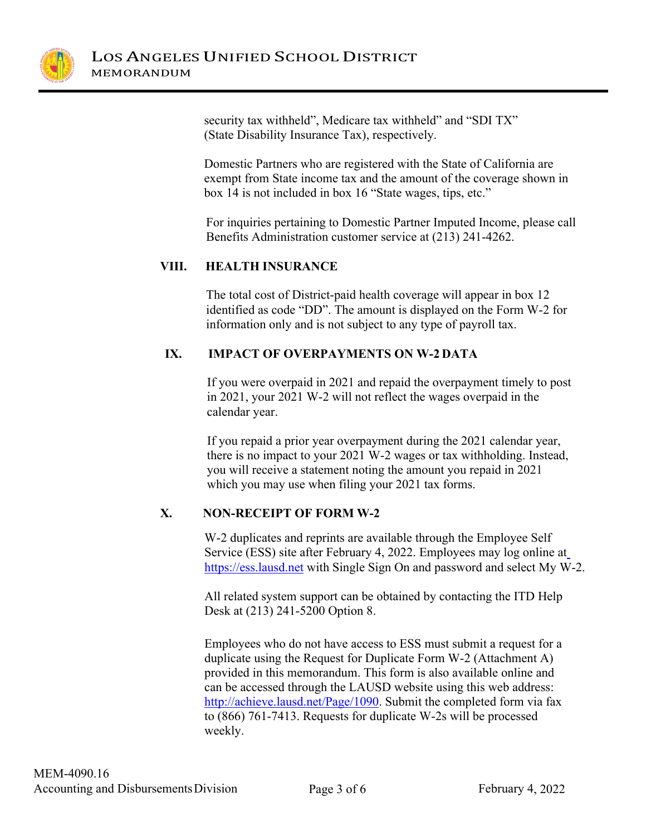

security tax withheld", Medicare tax withheld" and "SDI TX" (State Disability Insurance Tax), respectively.

Domestic Partners who are registered with the State of California are exempt from State income tax and the amount of the coverage shown in box 14 is not included in box 16 "State wages, tips, etc."

For inquiries pertaining to Domestic Partner Imputed Income, please call Benefits Administration customer service at (213) 241-4262.

## **VIII. HEALTH INSURANCE**

The total cost of District-paid health coverage will appear in box 12 identified as code "DD". The amount is displayed on the Form W-2 for information only and is not subject to any type of payroll tax.

## **IX. IMPACT OF OVERPAYMENTS ON W-2 DATA**

If you were overpaid in 2021 and repaid the overpayment timely to post in 2021, your 2021 W-2 will not reflect the wages overpaid in the calendar year.

If you repaid a prior year overpayment during the 2021 calendar year, there is no impact to your 2021 W-2 wages or tax withholding. Instead, you will receive a statement noting the amount you repaid in 2021 which you may use when filing your 2021 tax forms.

# **X. NON-RECEIPT OF FORM W-2**

W-2 duplicates and reprints are available through the Employee Self Service (ESS) site after February 4, 2022. Employees may log online at https://ess.lausd.net with Single Sign On and password and select My W-2.

All related system support can be obtained by contacting the ITD Help Desk at (213) 241-5200 Option 8.

Employees who do not have access to ESS must submit a request for a duplicate using the Request for Duplicate Form W-2 (Attachment A) provided in this memorandum. This form is also available online and can be accessed through the LAUSD website using this web address: [http://achieve.lausd.net/Page/1090.](http://achieve.lausd.net/Page/1090) Submit the completed form via fax to (866) 761-7413. Requests for duplicate W-2s will be processed weekly.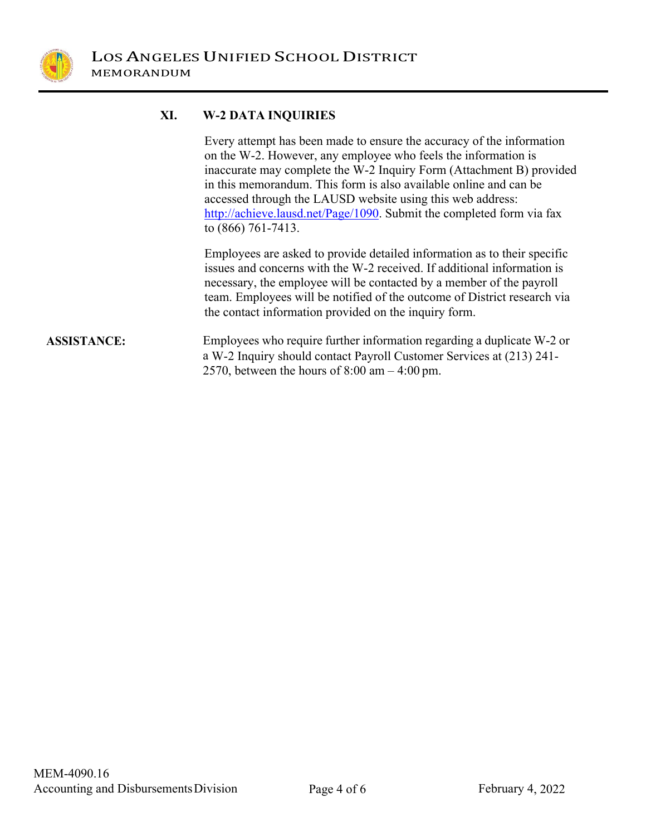

### **XI. W-2 DATA INQUIRIES**

Every attempt has been made to ensure the accuracy of the information on the W-2. However, any employee who feels the information is inaccurate may complete the W-2 Inquiry Form (Attachment B) provided in this memorandum. This form is also available online and can be accessed through the LAUSD website using this web address: [http://achieve.lausd.net/Page/1090.](http://achieve.lausd.net/Page/1090) Submit the completed form via fax to (866) 761-7413.

Employees are asked to provide detailed information as to their specific issues and concerns with the W-2 received. If additional information is necessary, the employee will be contacted by a member of the payroll team. Employees will be notified of the outcome of District research via the contact information provided on the inquiry form.

### **ASSISTANCE:** Employees who require further information regarding a duplicate W-2 or a W-2 Inquiry should contact Payroll Customer Services at (213) 241- 2570, between the hours of 8:00 am – 4:00 pm.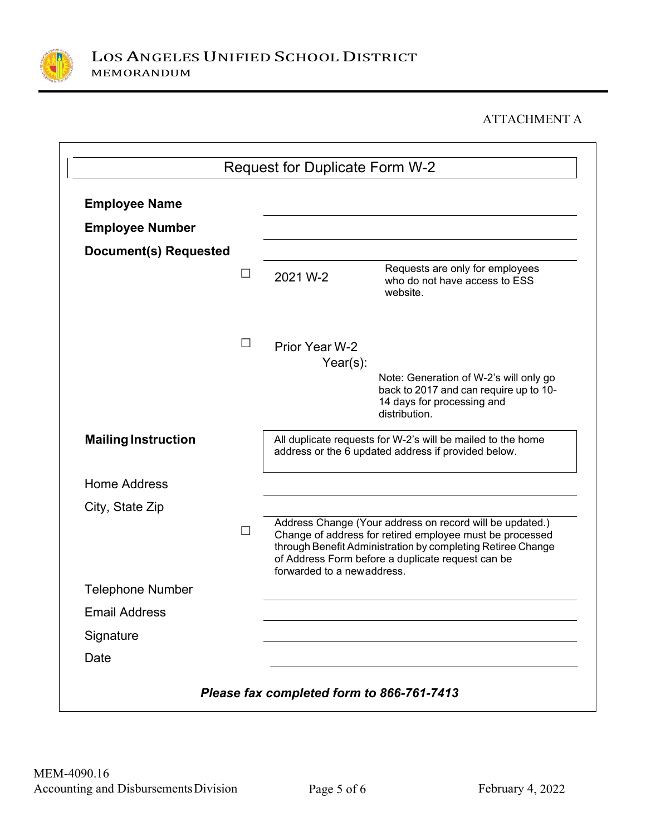

# ATTACHMENT A

| <b>Employee Name</b>       |         |                                                                                                                    |                                                                                                                                                                                                                                          |
|----------------------------|---------|--------------------------------------------------------------------------------------------------------------------|------------------------------------------------------------------------------------------------------------------------------------------------------------------------------------------------------------------------------------------|
| <b>Employee Number</b>     |         |                                                                                                                    |                                                                                                                                                                                                                                          |
| Document(s) Requested      |         |                                                                                                                    |                                                                                                                                                                                                                                          |
|                            | ⊔       | 2021 W-2                                                                                                           | Requests are only for employees<br>who do not have access to ESS<br>website.                                                                                                                                                             |
|                            | $\Box$  | Prior Year W-2<br>$Year(s)$ :                                                                                      |                                                                                                                                                                                                                                          |
|                            |         |                                                                                                                    | Note: Generation of W-2's will only go<br>back to 2017 and can require up to 10-<br>14 days for processing and<br>distribution.                                                                                                          |
| <b>Mailing Instruction</b> |         | All duplicate requests for W-2's will be mailed to the home<br>address or the 6 updated address if provided below. |                                                                                                                                                                                                                                          |
| <b>Home Address</b>        |         |                                                                                                                    |                                                                                                                                                                                                                                          |
| City, State Zip            |         |                                                                                                                    |                                                                                                                                                                                                                                          |
|                            | $\perp$ | forwarded to a newaddress.                                                                                         | Address Change (Your address on record will be updated.)<br>Change of address for retired employee must be processed<br>through Benefit Administration by completing Retiree Change<br>of Address Form before a duplicate request can be |
| <b>Telephone Number</b>    |         |                                                                                                                    |                                                                                                                                                                                                                                          |
| <b>Email Address</b>       |         |                                                                                                                    |                                                                                                                                                                                                                                          |
| Signature                  |         |                                                                                                                    |                                                                                                                                                                                                                                          |
| Date                       |         |                                                                                                                    |                                                                                                                                                                                                                                          |